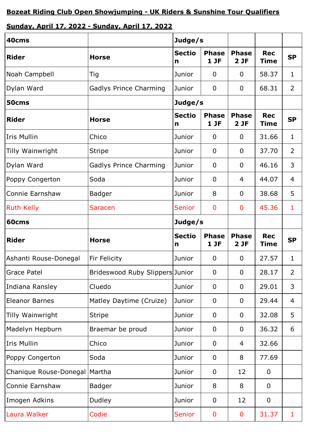## **Sunday, April 17, 2022 - Sunday, April 17, 2022**

| 40cms                           |                                 | Judge/s                       |                      |                      |                           |                |
|---------------------------------|---------------------------------|-------------------------------|----------------------|----------------------|---------------------------|----------------|
| <b>Rider</b>                    | <b>Horse</b>                    | <b>Sectio</b><br>$\mathsf{n}$ | <b>Phase</b><br>1JF  | <b>Phase</b><br>2 JF | <b>Rec</b><br><b>Time</b> | <b>SP</b>      |
| Noah Campbell                   | Tig                             | Junior                        | 0                    | 0                    | 58.37                     | 1              |
| Dylan Ward                      | Gadlys Prince Charming          | Junior                        | $\mathbf 0$          | $\overline{0}$       | 68.31                     | $\overline{2}$ |
| 50cms                           |                                 | Judge/s                       |                      |                      |                           |                |
| <b>Rider</b>                    | <b>Horse</b>                    | <b>Sectio</b><br>n            | <b>Phase</b><br>1 JF | <b>Phase</b><br>2JF  | <b>Rec</b><br><b>Time</b> | <b>SP</b>      |
| <b>Iris Mullin</b>              | Chico                           | Junior                        | 0                    | 0                    | 31.66                     | 1              |
| Tilly Wainwright                | <b>Stripe</b>                   | Junior                        | $\overline{0}$       | 0                    | 37.70                     | $\overline{2}$ |
| Dylan Ward                      | <b>Gadlys Prince Charming</b>   | Junior                        | $\mathbf 0$          | 0                    | 46.16                     | 3              |
| Poppy Congerton                 | Soda                            | Junior                        | $\mathbf 0$          | 4                    | 44.07                     | 4              |
| Connie Earnshaw                 | <b>Badger</b>                   | Junior                        | 8                    | 0                    | 38.68                     | 5              |
| <b>Ruth Kelly</b>               | <b>Saracen</b>                  | <b>Senior</b>                 | $\mathbf{0}$         | $\mathbf 0$          | 45.36                     | 1              |
| 60cms                           |                                 | Judge/s                       |                      |                      |                           |                |
| <b>Rider</b>                    | <b>Horse</b>                    | <b>Sectio</b><br>n            | <b>Phase</b><br>1 JF | <b>Phase</b><br>2 JF | <b>Rec</b><br><b>Time</b> | <b>SP</b>      |
| Ashanti Rouse-Donegal           | Fir Felicity                    | Junior                        | $\mathbf 0$          | 0                    | 27.57                     | $\mathbf{1}$   |
| <b>Grace Patel</b>              | Brideswood Ruby Slippers Junior |                               | $\mathbf 0$          | $\mathbf 0$          | 28.17                     | $\overline{2}$ |
| Indiana Ransley                 | Cluedo                          | Junior                        | $\mathbf 0$          | 0                    | 29.01                     | 3              |
| <b>Eleanor Barnes</b>           | Matley Daytime (Cruize)         | Junior                        | $\mathbf 0$          | 0                    | 29.44                     | 4              |
| Tilly Wainwright                | <b>Stripe</b>                   | Junior                        | $\mathbf 0$          | 0                    | 32.08                     | 5              |
| Madelyn Hepburn                 | Braemar be proud                | Junior                        | $\mathbf 0$          | 0                    | 36.32                     | 6              |
| <b>Iris Mullin</b>              | Chico                           | Junior                        | $\mathbf 0$          | 4                    | 32.66                     |                |
| Poppy Congerton                 | Soda                            | Junior                        | $\overline{0}$       | 8                    | 77.69                     |                |
| Chanique Rouse-Donegal   Martha |                                 | Junior                        | $\mathbf 0$          | 12                   | $\mathbf 0$               |                |
| Connie Earnshaw                 | <b>Badger</b>                   | Junior                        | 8                    | 8                    | $\overline{0}$            |                |
| Imogen Adkins                   | Dudley                          | Junior                        | $\overline{0}$       | 12                   | $\overline{0}$            |                |
| Laura Walker                    | Codie                           | <b>Senior</b>                 | $\bf{0}$             | 0                    | 31.37                     | 1              |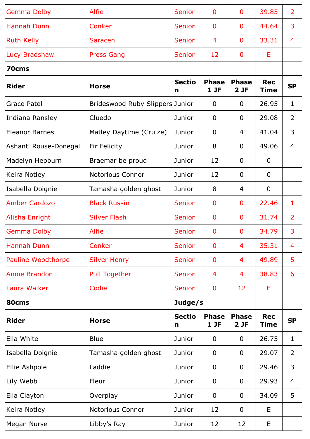| <b>Gemma Dolby</b>    | <b>Alfie</b>                    | Senior             | $\overline{0}$         | $\mathbf 0$         | 39.85                     | $\overline{2}$ |
|-----------------------|---------------------------------|--------------------|------------------------|---------------------|---------------------------|----------------|
| Hannah Dunn           | Conker                          | <b>Senior</b>      | $\overline{0}$         | $\mathbf 0$         | 44.64                     | 3              |
| <b>Ruth Kelly</b>     | <b>Saracen</b>                  | <b>Senior</b>      | 4                      | $\overline{0}$      | 33.31                     | 4              |
| Lucy Bradshaw         | <b>Press Gang</b>               | <b>Senior</b>      | 12                     | $\overline{0}$      | E                         |                |
| 70cms                 |                                 |                    |                        |                     |                           |                |
| <b>Rider</b>          | <b>Horse</b>                    | <b>Sectio</b><br>n | <b>Phase</b><br>$1$ JF | <b>Phase</b><br>2JF | <b>Rec</b><br><b>Time</b> | <b>SP</b>      |
| Grace Patel           | Brideswood Ruby Slippers Junior |                    | $\mathbf 0$            | $\overline{0}$      | 26.95                     | 1              |
| Indiana Ransley       | Cluedo                          | Junior             | $\overline{0}$         | $\overline{0}$      | 29.08                     | 2              |
| <b>Eleanor Barnes</b> | Matley Daytime (Cruize)         | Junior             | $\Omega$               | 4                   | 41.04                     | 3              |
| Ashanti Rouse-Donegal | Fir Felicity                    | Junior             | 8                      | $\mathbf 0$         | 49.06                     | 4              |
| Madelyn Hepburn       | Braemar be proud                | Junior             | 12                     | $\overline{0}$      | $\mathbf 0$               |                |
| Keira Notley          | <b>Notorious Connor</b>         | Junior             | 12                     | $\mathbf 0$         | $\mathbf 0$               |                |
| Isabella Doignie      | Tamasha golden ghost            | Junior             | 8                      | 4                   | $\mathbf 0$               |                |
| <b>Amber Cardozo</b>  | <b>Black Russin</b>             | <b>Senior</b>      | $\mathbf 0$            | $\bf{0}$            | 22.46                     | 1              |
| Alisha Enright        | <b>Silver Flash</b>             | <b>Senior</b>      | $\mathbf 0$            | $\overline{0}$      | 31.74                     | $\overline{2}$ |
| <b>Gemma Dolby</b>    | <b>Alfie</b>                    | <b>Senior</b>      | $\overline{0}$         | $\mathbf 0$         | 34.79                     | 3              |
| <b>Hannah Dunn</b>    | Conker                          | <b>Senior</b>      | $\overline{0}$         | 4                   | 35.31                     | 4              |
| Pauline Woodthorpe    | <b>Silver Henry</b>             | <b>Senior</b>      | $\overline{0}$         | 4                   | 49.89                     | 5              |
| <b>Annie Brandon</b>  | <b>Pull Together</b>            | <b>Senior</b>      | 4                      | 4                   | 38.83                     | 6              |
| Laura Walker          | Codie                           | <b>Senior</b>      | $\mathbf 0$            | 12                  | Ε                         |                |
| 80cms                 |                                 | Judge/s            |                        |                     |                           |                |
| <b>Rider</b>          | <b>Horse</b>                    | <b>Sectio</b><br>n | <b>Phase</b><br>$1$ JF | <b>Phase</b><br>2JF | <b>Rec</b><br>Time        | <b>SP</b>      |
| Ella White            | <b>Blue</b>                     | Junior             | $\mathbf 0$            | $\overline{0}$      | 26.75                     | 1              |
| Isabella Doignie      | Tamasha golden ghost            | Junior             | $\mathbf 0$            | $\mathbf 0$         | 29.07                     | $\overline{2}$ |
| Ellie Ashpole         | Laddie                          | Junior             | $\mathbf 0$            | $\overline{0}$      | 29.46                     | 3              |
| Lily Webb             | Fleur                           | Junior             | $\mathbf 0$            | $\mathbf 0$         | 29.93                     | 4              |
| Ella Clayton          | Overplay                        | Junior             | $\overline{0}$         | $\mathbf 0$         | 34.09                     | 5              |
| Keira Notley          | <b>Notorious Connor</b>         | Junior             | 12                     | $\mathbf 0$         | E                         |                |
| Megan Nurse           | Libby's Ray                     | Junior             | 12                     | 12                  | E                         |                |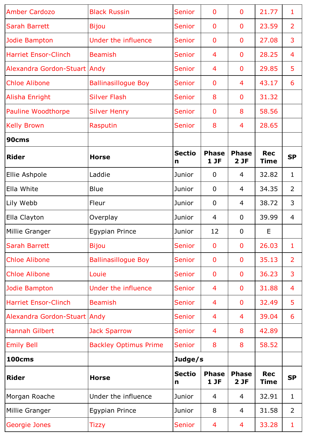| <b>Amber Cardozo</b>         | <b>Black Russin</b>          | <b>Senior</b>                 | $\mathbf{0}$        | $\mathbf 0$         | 21.77                     | 1              |
|------------------------------|------------------------------|-------------------------------|---------------------|---------------------|---------------------------|----------------|
| <b>Sarah Barrett</b>         | <b>Bijou</b>                 | <b>Senior</b>                 | $\mathbf{0}$        | $\mathbf 0$         | 23.59                     | $\overline{2}$ |
| Jodie Bampton                | Under the influence          | <b>Senior</b>                 | $\mathbf{0}$        | 0                   | 27.08                     | 3              |
| <b>Harriet Ensor-Clinch</b>  | <b>Beamish</b>               | <b>Senior</b>                 | 4                   | $\mathbf 0$         | 28.25                     | 4              |
| Alexandra Gordon-Stuart Andy |                              | <b>Senior</b>                 | 4                   | $\mathbf 0$         | 29.85                     | 5              |
| <b>Chloe Alibone</b>         | <b>Ballinasillogue Boy</b>   | Senior                        | $\mathbf 0$         | $\overline{4}$      | 43.17                     | 6              |
| Alisha Enright               | <b>Silver Flash</b>          | <b>Senior</b>                 | 8                   | 0                   | 31.32                     |                |
| Pauline Woodthorpe           | <b>Silver Henry</b>          | <b>Senior</b>                 | $\mathbf 0$         | 8                   | 58.56                     |                |
| <b>Kelly Brown</b>           | Rasputin                     | <b>Senior</b>                 | 8                   | 4                   | 28.65                     |                |
| 90cms                        |                              |                               |                     |                     |                           |                |
| <b>Rider</b>                 | <b>Horse</b>                 | <b>Sectio</b><br>$\mathsf{n}$ | <b>Phase</b><br>1JF | <b>Phase</b><br>2JF | <b>Rec</b><br><b>Time</b> | <b>SP</b>      |
| Ellie Ashpole                | Laddie                       | Junior                        | $\mathbf{0}$        | 4                   | 32.82                     | 1              |
| Ella White                   | <b>Blue</b>                  | Junior                        | $\mathbf{0}$        | 4                   | 34.35                     | $\overline{2}$ |
| Lily Webb                    | Fleur                        | Junior                        | $\mathbf 0$         | 4                   | 38.72                     | 3              |
| Ella Clayton                 | Overplay                     | Junior                        | 4                   | $\overline{0}$      | 39.99                     | 4              |
| Millie Granger               | <b>Egypian Prince</b>        | Junior                        | 12                  | $\mathbf 0$         | E                         |                |
| <b>Sarah Barrett</b>         | <b>Bijou</b>                 | <b>Senior</b>                 | $\mathbf{0}$        | $\mathbf 0$         | 26.03                     | $\mathbf{1}$   |
| <b>Chloe Alibone</b>         | <b>Ballinasillogue Boy</b>   | <b>Senior</b>                 | $\mathbf 0$         | $\mathbf 0$         | 35.13                     | 2              |
| <b>Chloe Alibone</b>         | Louie                        | Senior                        | $\mathbf{0}$        | $\mathbf 0$         | 36.23                     | 3              |
| Jodie Bampton                | <b>Under the influence</b>   | <b>Senior</b>                 | 4                   | 0                   | 31.88                     | 4              |
| <b>Harriet Ensor-Clinch</b>  | <b>Beamish</b>               | Senior                        | $\overline{4}$      | $\mathbf{0}$        | 32.49                     | 5              |
| Alexandra Gordon-Stuart Andy |                              | <b>Senior</b>                 | 4                   | 4                   | 39.04                     | 6              |
| <b>Hannah Gilbert</b>        | <b>Jack Sparrow</b>          | Senior                        | 4                   | 8                   | 42.89                     |                |
| <b>Emily Bell</b>            | <b>Backley Optimus Prime</b> | <b>Senior</b>                 | 8                   | 8                   | 58.52                     |                |
| <b>100cms</b>                |                              | Judge/s                       |                     |                     |                           |                |
| <b>Rider</b>                 | <b>Horse</b>                 | <b>Sectio</b><br>n            | <b>Phase</b><br>1JF | <b>Phase</b><br>2JF | <b>Rec</b><br><b>Time</b> | <b>SP</b>      |
| Morgan Roache                | Under the influence          | Junior                        | $\overline{4}$      | 4                   | 32.91                     | 1              |
| Millie Granger               | <b>Egypian Prince</b>        | Junior                        | 8                   | 4                   | 31.58                     | $\overline{2}$ |
| Georgie Jones                | Tizzy                        | <b>Senior</b>                 | 4                   | 4                   | 33.28                     | 1              |